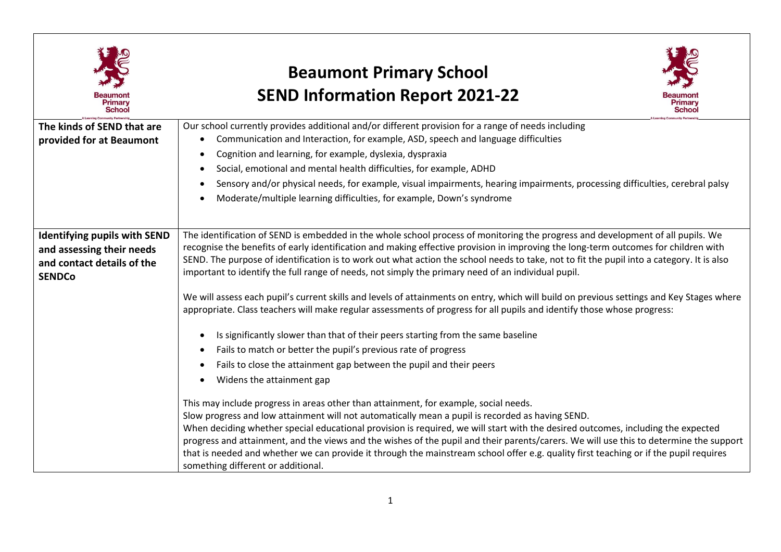

## **Beaumont Primary School SEND Information Report 2021-22**



| The kinds of SEND that are          | Our school currently provides additional and/or different provision for a range of needs including                                        |
|-------------------------------------|-------------------------------------------------------------------------------------------------------------------------------------------|
| provided for at Beaumont            | Communication and Interaction, for example, ASD, speech and language difficulties                                                         |
|                                     | Cognition and learning, for example, dyslexia, dyspraxia<br>$\bullet$                                                                     |
|                                     | Social, emotional and mental health difficulties, for example, ADHD                                                                       |
|                                     | Sensory and/or physical needs, for example, visual impairments, hearing impairments, processing difficulties, cerebral palsy<br>$\bullet$ |
|                                     | Moderate/multiple learning difficulties, for example, Down's syndrome                                                                     |
|                                     |                                                                                                                                           |
|                                     |                                                                                                                                           |
| <b>Identifying pupils with SEND</b> | The identification of SEND is embedded in the whole school process of monitoring the progress and development of all pupils. We           |
| and assessing their needs           | recognise the benefits of early identification and making effective provision in improving the long-term outcomes for children with       |
| and contact details of the          | SEND. The purpose of identification is to work out what action the school needs to take, not to fit the pupil into a category. It is also |
| <b>SENDCo</b>                       | important to identify the full range of needs, not simply the primary need of an individual pupil.                                        |
|                                     |                                                                                                                                           |
|                                     | We will assess each pupil's current skills and levels of attainments on entry, which will build on previous settings and Key Stages where |
|                                     | appropriate. Class teachers will make regular assessments of progress for all pupils and identify those whose progress:                   |
|                                     |                                                                                                                                           |
|                                     | Is significantly slower than that of their peers starting from the same baseline                                                          |
|                                     | Fails to match or better the pupil's previous rate of progress<br>$\bullet$                                                               |
|                                     | Fails to close the attainment gap between the pupil and their peers<br>$\bullet$                                                          |
|                                     | Widens the attainment gap                                                                                                                 |
|                                     |                                                                                                                                           |
|                                     | This may include progress in areas other than attainment, for example, social needs.                                                      |
|                                     | Slow progress and low attainment will not automatically mean a pupil is recorded as having SEND.                                          |
|                                     | When deciding whether special educational provision is required, we will start with the desired outcomes, including the expected          |
|                                     | progress and attainment, and the views and the wishes of the pupil and their parents/carers. We will use this to determine the support    |
|                                     | that is needed and whether we can provide it through the mainstream school offer e.g. quality first teaching or if the pupil requires     |
|                                     | something different or additional.                                                                                                        |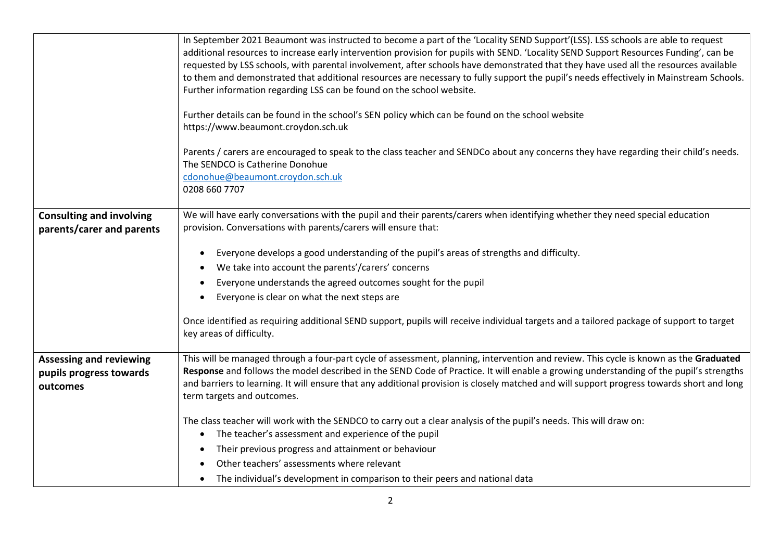|                                                                       | In September 2021 Beaumont was instructed to become a part of the 'Locality SEND Support'(LSS). LSS schools are able to request<br>additional resources to increase early intervention provision for pupils with SEND. 'Locality SEND Support Resources Funding', can be<br>requested by LSS schools, with parental involvement, after schools have demonstrated that they have used all the resources available<br>to them and demonstrated that additional resources are necessary to fully support the pupil's needs effectively in Mainstream Schools.<br>Further information regarding LSS can be found on the school website. |
|-----------------------------------------------------------------------|-------------------------------------------------------------------------------------------------------------------------------------------------------------------------------------------------------------------------------------------------------------------------------------------------------------------------------------------------------------------------------------------------------------------------------------------------------------------------------------------------------------------------------------------------------------------------------------------------------------------------------------|
|                                                                       | Further details can be found in the school's SEN policy which can be found on the school website<br>https://www.beaumont.croydon.sch.uk                                                                                                                                                                                                                                                                                                                                                                                                                                                                                             |
|                                                                       | Parents / carers are encouraged to speak to the class teacher and SENDCo about any concerns they have regarding their child's needs.<br>The SENDCO is Catherine Donohue<br>cdonohue@beaumont.croydon.sch.uk<br>0208 660 7707                                                                                                                                                                                                                                                                                                                                                                                                        |
| <b>Consulting and involving</b>                                       | We will have early conversations with the pupil and their parents/carers when identifying whether they need special education                                                                                                                                                                                                                                                                                                                                                                                                                                                                                                       |
| parents/carer and parents                                             | provision. Conversations with parents/carers will ensure that:                                                                                                                                                                                                                                                                                                                                                                                                                                                                                                                                                                      |
|                                                                       |                                                                                                                                                                                                                                                                                                                                                                                                                                                                                                                                                                                                                                     |
|                                                                       | Everyone develops a good understanding of the pupil's areas of strengths and difficulty.<br>$\bullet$                                                                                                                                                                                                                                                                                                                                                                                                                                                                                                                               |
|                                                                       | We take into account the parents'/carers' concerns                                                                                                                                                                                                                                                                                                                                                                                                                                                                                                                                                                                  |
|                                                                       | Everyone understands the agreed outcomes sought for the pupil                                                                                                                                                                                                                                                                                                                                                                                                                                                                                                                                                                       |
|                                                                       | Everyone is clear on what the next steps are                                                                                                                                                                                                                                                                                                                                                                                                                                                                                                                                                                                        |
|                                                                       | Once identified as requiring additional SEND support, pupils will receive individual targets and a tailored package of support to target<br>key areas of difficulty.                                                                                                                                                                                                                                                                                                                                                                                                                                                                |
| <b>Assessing and reviewing</b><br>pupils progress towards<br>outcomes | This will be managed through a four-part cycle of assessment, planning, intervention and review. This cycle is known as the Graduated<br>Response and follows the model described in the SEND Code of Practice. It will enable a growing understanding of the pupil's strengths<br>and barriers to learning. It will ensure that any additional provision is closely matched and will support progress towards short and long<br>term targets and outcomes.                                                                                                                                                                         |
|                                                                       | The class teacher will work with the SENDCO to carry out a clear analysis of the pupil's needs. This will draw on:<br>The teacher's assessment and experience of the pupil<br>$\bullet$                                                                                                                                                                                                                                                                                                                                                                                                                                             |
|                                                                       | Their previous progress and attainment or behaviour                                                                                                                                                                                                                                                                                                                                                                                                                                                                                                                                                                                 |
|                                                                       | Other teachers' assessments where relevant                                                                                                                                                                                                                                                                                                                                                                                                                                                                                                                                                                                          |
|                                                                       | The individual's development in comparison to their peers and national data                                                                                                                                                                                                                                                                                                                                                                                                                                                                                                                                                         |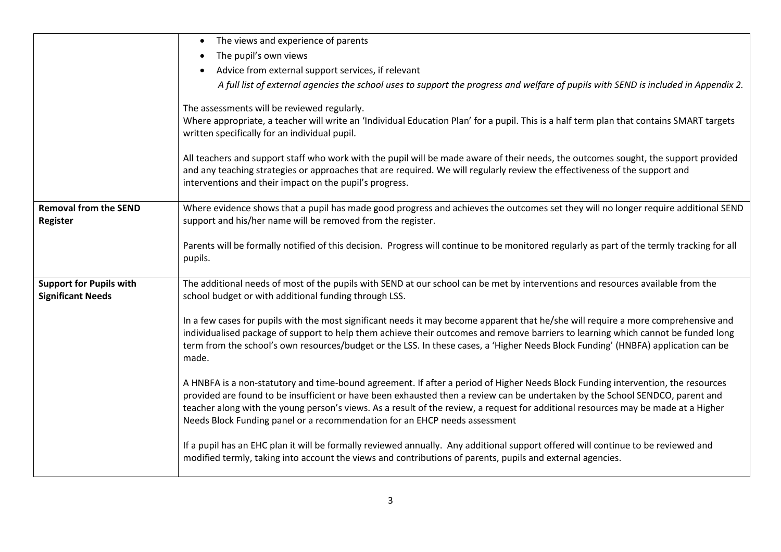|                                | The views and experience of parents<br>$\bullet$                                                                                                                                                                                                                                                                             |
|--------------------------------|------------------------------------------------------------------------------------------------------------------------------------------------------------------------------------------------------------------------------------------------------------------------------------------------------------------------------|
|                                | The pupil's own views                                                                                                                                                                                                                                                                                                        |
|                                | Advice from external support services, if relevant                                                                                                                                                                                                                                                                           |
|                                | A full list of external agencies the school uses to support the progress and welfare of pupils with SEND is included in Appendix 2.                                                                                                                                                                                          |
|                                | The assessments will be reviewed regularly.                                                                                                                                                                                                                                                                                  |
|                                | Where appropriate, a teacher will write an 'Individual Education Plan' for a pupil. This is a half term plan that contains SMART targets                                                                                                                                                                                     |
|                                | written specifically for an individual pupil.                                                                                                                                                                                                                                                                                |
|                                | All teachers and support staff who work with the pupil will be made aware of their needs, the outcomes sought, the support provided<br>and any teaching strategies or approaches that are required. We will regularly review the effectiveness of the support and<br>interventions and their impact on the pupil's progress. |
| <b>Removal from the SEND</b>   | Where evidence shows that a pupil has made good progress and achieves the outcomes set they will no longer require additional SEND                                                                                                                                                                                           |
| Register                       | support and his/her name will be removed from the register.                                                                                                                                                                                                                                                                  |
|                                |                                                                                                                                                                                                                                                                                                                              |
|                                | Parents will be formally notified of this decision. Progress will continue to be monitored regularly as part of the termly tracking for all<br>pupils.                                                                                                                                                                       |
|                                |                                                                                                                                                                                                                                                                                                                              |
| <b>Support for Pupils with</b> | The additional needs of most of the pupils with SEND at our school can be met by interventions and resources available from the                                                                                                                                                                                              |
| <b>Significant Needs</b>       | school budget or with additional funding through LSS.                                                                                                                                                                                                                                                                        |
|                                |                                                                                                                                                                                                                                                                                                                              |
|                                | In a few cases for pupils with the most significant needs it may become apparent that he/she will require a more comprehensive and<br>individualised package of support to help them achieve their outcomes and remove barriers to learning which cannot be funded long                                                      |
|                                | term from the school's own resources/budget or the LSS. In these cases, a 'Higher Needs Block Funding' (HNBFA) application can be                                                                                                                                                                                            |
|                                | made.                                                                                                                                                                                                                                                                                                                        |
|                                |                                                                                                                                                                                                                                                                                                                              |
|                                | A HNBFA is a non-statutory and time-bound agreement. If after a period of Higher Needs Block Funding intervention, the resources                                                                                                                                                                                             |
|                                | provided are found to be insufficient or have been exhausted then a review can be undertaken by the School SENDCO, parent and<br>teacher along with the young person's views. As a result of the review, a request for additional resources may be made at a Higher                                                          |
|                                | Needs Block Funding panel or a recommendation for an EHCP needs assessment                                                                                                                                                                                                                                                   |
|                                |                                                                                                                                                                                                                                                                                                                              |
|                                | If a pupil has an EHC plan it will be formally reviewed annually. Any additional support offered will continue to be reviewed and                                                                                                                                                                                            |
|                                | modified termly, taking into account the views and contributions of parents, pupils and external agencies.                                                                                                                                                                                                                   |
|                                |                                                                                                                                                                                                                                                                                                                              |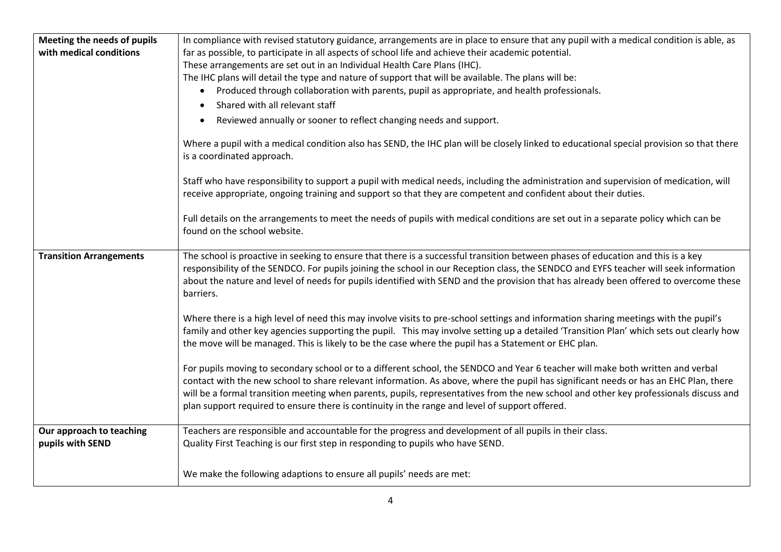| Meeting the needs of pupils                  | In compliance with revised statutory guidance, arrangements are in place to ensure that any pupil with a medical condition is able, as                                                                                                                                                                                                                                                                                                                                                                             |
|----------------------------------------------|--------------------------------------------------------------------------------------------------------------------------------------------------------------------------------------------------------------------------------------------------------------------------------------------------------------------------------------------------------------------------------------------------------------------------------------------------------------------------------------------------------------------|
| with medical conditions                      | far as possible, to participate in all aspects of school life and achieve their academic potential.                                                                                                                                                                                                                                                                                                                                                                                                                |
|                                              | These arrangements are set out in an Individual Health Care Plans (IHC).                                                                                                                                                                                                                                                                                                                                                                                                                                           |
|                                              | The IHC plans will detail the type and nature of support that will be available. The plans will be:                                                                                                                                                                                                                                                                                                                                                                                                                |
|                                              | Produced through collaboration with parents, pupil as appropriate, and health professionals.<br>$\bullet$                                                                                                                                                                                                                                                                                                                                                                                                          |
|                                              | Shared with all relevant staff                                                                                                                                                                                                                                                                                                                                                                                                                                                                                     |
|                                              | Reviewed annually or sooner to reflect changing needs and support.                                                                                                                                                                                                                                                                                                                                                                                                                                                 |
|                                              | Where a pupil with a medical condition also has SEND, the IHC plan will be closely linked to educational special provision so that there<br>is a coordinated approach.                                                                                                                                                                                                                                                                                                                                             |
|                                              | Staff who have responsibility to support a pupil with medical needs, including the administration and supervision of medication, will<br>receive appropriate, ongoing training and support so that they are competent and confident about their duties.                                                                                                                                                                                                                                                            |
|                                              | Full details on the arrangements to meet the needs of pupils with medical conditions are set out in a separate policy which can be<br>found on the school website.                                                                                                                                                                                                                                                                                                                                                 |
| <b>Transition Arrangements</b>               | The school is proactive in seeking to ensure that there is a successful transition between phases of education and this is a key<br>responsibility of the SENDCO. For pupils joining the school in our Reception class, the SENDCO and EYFS teacher will seek information<br>about the nature and level of needs for pupils identified with SEND and the provision that has already been offered to overcome these<br>barriers.                                                                                    |
|                                              | Where there is a high level of need this may involve visits to pre-school settings and information sharing meetings with the pupil's<br>family and other key agencies supporting the pupil. This may involve setting up a detailed 'Transition Plan' which sets out clearly how<br>the move will be managed. This is likely to be the case where the pupil has a Statement or EHC plan.                                                                                                                            |
|                                              | For pupils moving to secondary school or to a different school, the SENDCO and Year 6 teacher will make both written and verbal<br>contact with the new school to share relevant information. As above, where the pupil has significant needs or has an EHC Plan, there<br>will be a formal transition meeting when parents, pupils, representatives from the new school and other key professionals discuss and<br>plan support required to ensure there is continuity in the range and level of support offered. |
| Our approach to teaching<br>pupils with SEND | Teachers are responsible and accountable for the progress and development of all pupils in their class.<br>Quality First Teaching is our first step in responding to pupils who have SEND.                                                                                                                                                                                                                                                                                                                         |
|                                              | We make the following adaptions to ensure all pupils' needs are met:                                                                                                                                                                                                                                                                                                                                                                                                                                               |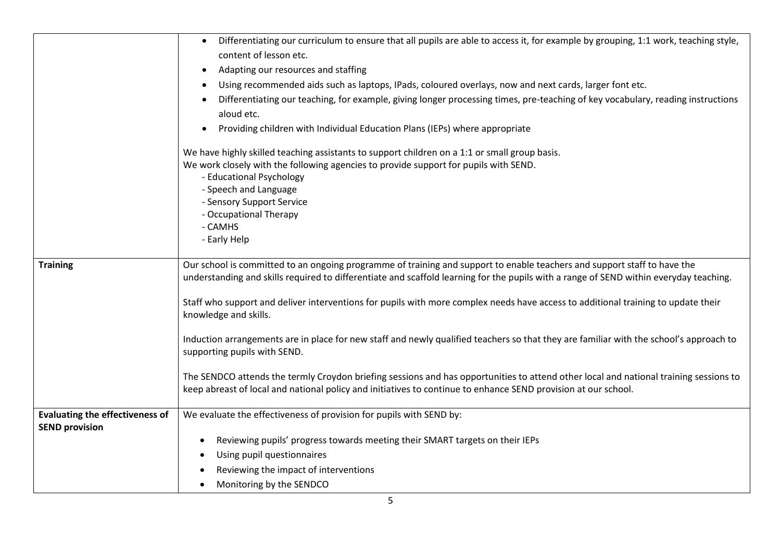|                                        | Differentiating our curriculum to ensure that all pupils are able to access it, for example by grouping, 1:1 work, teaching style,<br>$\bullet$                                                                                                         |
|----------------------------------------|---------------------------------------------------------------------------------------------------------------------------------------------------------------------------------------------------------------------------------------------------------|
|                                        | content of lesson etc.                                                                                                                                                                                                                                  |
|                                        | Adapting our resources and staffing                                                                                                                                                                                                                     |
|                                        | Using recommended aids such as laptops, IPads, coloured overlays, now and next cards, larger font etc.                                                                                                                                                  |
|                                        | Differentiating our teaching, for example, giving longer processing times, pre-teaching of key vocabulary, reading instructions<br>aloud etc.                                                                                                           |
|                                        | Providing children with Individual Education Plans (IEPs) where appropriate                                                                                                                                                                             |
|                                        | We have highly skilled teaching assistants to support children on a 1:1 or small group basis.                                                                                                                                                           |
|                                        | We work closely with the following agencies to provide support for pupils with SEND.                                                                                                                                                                    |
|                                        | - Educational Psychology<br>- Speech and Language                                                                                                                                                                                                       |
|                                        | - Sensory Support Service                                                                                                                                                                                                                               |
|                                        | - Occupational Therapy                                                                                                                                                                                                                                  |
|                                        | - CAMHS                                                                                                                                                                                                                                                 |
|                                        | - Early Help                                                                                                                                                                                                                                            |
| <b>Training</b>                        | Our school is committed to an ongoing programme of training and support to enable teachers and support staff to have the                                                                                                                                |
|                                        | understanding and skills required to differentiate and scaffold learning for the pupils with a range of SEND within everyday teaching.                                                                                                                  |
|                                        | Staff who support and deliver interventions for pupils with more complex needs have access to additional training to update their<br>knowledge and skills.                                                                                              |
|                                        | Induction arrangements are in place for new staff and newly qualified teachers so that they are familiar with the school's approach to<br>supporting pupils with SEND.                                                                                  |
|                                        | The SENDCO attends the termly Croydon briefing sessions and has opportunities to attend other local and national training sessions to<br>keep abreast of local and national policy and initiatives to continue to enhance SEND provision at our school. |
| <b>Evaluating the effectiveness of</b> | We evaluate the effectiveness of provision for pupils with SEND by:                                                                                                                                                                                     |
| <b>SEND provision</b>                  |                                                                                                                                                                                                                                                         |
|                                        | Reviewing pupils' progress towards meeting their SMART targets on their IEPs<br>$\bullet$                                                                                                                                                               |
|                                        | Using pupil questionnaires<br>$\bullet$                                                                                                                                                                                                                 |
|                                        | Reviewing the impact of interventions                                                                                                                                                                                                                   |
|                                        | Monitoring by the SENDCO                                                                                                                                                                                                                                |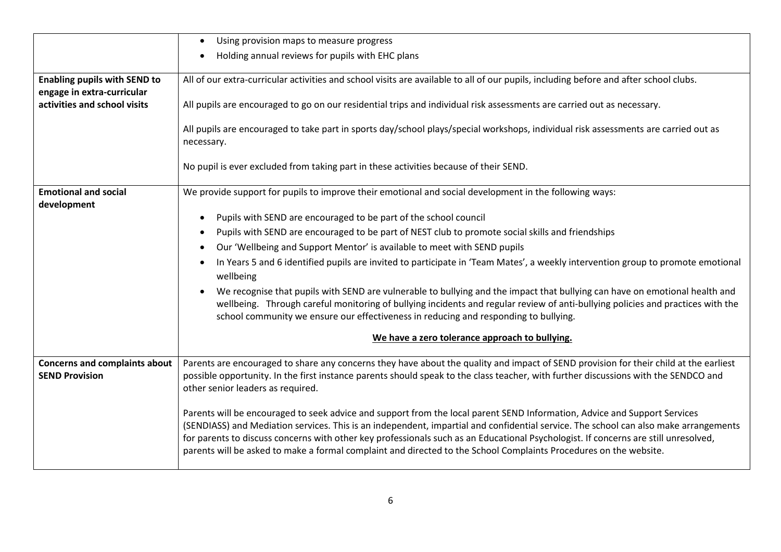|                                                                   | Using provision maps to measure progress<br>$\bullet$                                                                                                                                                                                                                                                                                                                                                                                                                                                                         |
|-------------------------------------------------------------------|-------------------------------------------------------------------------------------------------------------------------------------------------------------------------------------------------------------------------------------------------------------------------------------------------------------------------------------------------------------------------------------------------------------------------------------------------------------------------------------------------------------------------------|
|                                                                   | Holding annual reviews for pupils with EHC plans<br>$\bullet$                                                                                                                                                                                                                                                                                                                                                                                                                                                                 |
| <b>Enabling pupils with SEND to</b><br>engage in extra-curricular | All of our extra-curricular activities and school visits are available to all of our pupils, including before and after school clubs.                                                                                                                                                                                                                                                                                                                                                                                         |
| activities and school visits                                      | All pupils are encouraged to go on our residential trips and individual risk assessments are carried out as necessary.                                                                                                                                                                                                                                                                                                                                                                                                        |
|                                                                   | All pupils are encouraged to take part in sports day/school plays/special workshops, individual risk assessments are carried out as<br>necessary.                                                                                                                                                                                                                                                                                                                                                                             |
|                                                                   | No pupil is ever excluded from taking part in these activities because of their SEND.                                                                                                                                                                                                                                                                                                                                                                                                                                         |
| <b>Emotional and social</b><br>development                        | We provide support for pupils to improve their emotional and social development in the following ways:                                                                                                                                                                                                                                                                                                                                                                                                                        |
|                                                                   | Pupils with SEND are encouraged to be part of the school council<br>$\bullet$                                                                                                                                                                                                                                                                                                                                                                                                                                                 |
|                                                                   | Pupils with SEND are encouraged to be part of NEST club to promote social skills and friendships<br>$\bullet$                                                                                                                                                                                                                                                                                                                                                                                                                 |
|                                                                   | Our 'Wellbeing and Support Mentor' is available to meet with SEND pupils<br>$\bullet$                                                                                                                                                                                                                                                                                                                                                                                                                                         |
|                                                                   | In Years 5 and 6 identified pupils are invited to participate in 'Team Mates', a weekly intervention group to promote emotional<br>$\bullet$<br>wellbeing                                                                                                                                                                                                                                                                                                                                                                     |
|                                                                   | We recognise that pupils with SEND are vulnerable to bullying and the impact that bullying can have on emotional health and<br>wellbeing. Through careful monitoring of bullying incidents and regular review of anti-bullying policies and practices with the<br>school community we ensure our effectiveness in reducing and responding to bullying.                                                                                                                                                                        |
|                                                                   | We have a zero tolerance approach to bullying.                                                                                                                                                                                                                                                                                                                                                                                                                                                                                |
| <b>Concerns and complaints about</b>                              | Parents are encouraged to share any concerns they have about the quality and impact of SEND provision for their child at the earliest                                                                                                                                                                                                                                                                                                                                                                                         |
| <b>SEND Provision</b>                                             | possible opportunity. In the first instance parents should speak to the class teacher, with further discussions with the SENDCO and<br>other senior leaders as required.                                                                                                                                                                                                                                                                                                                                                      |
|                                                                   | Parents will be encouraged to seek advice and support from the local parent SEND Information, Advice and Support Services<br>(SENDIASS) and Mediation services. This is an independent, impartial and confidential service. The school can also make arrangements<br>for parents to discuss concerns with other key professionals such as an Educational Psychologist. If concerns are still unresolved,<br>parents will be asked to make a formal complaint and directed to the School Complaints Procedures on the website. |